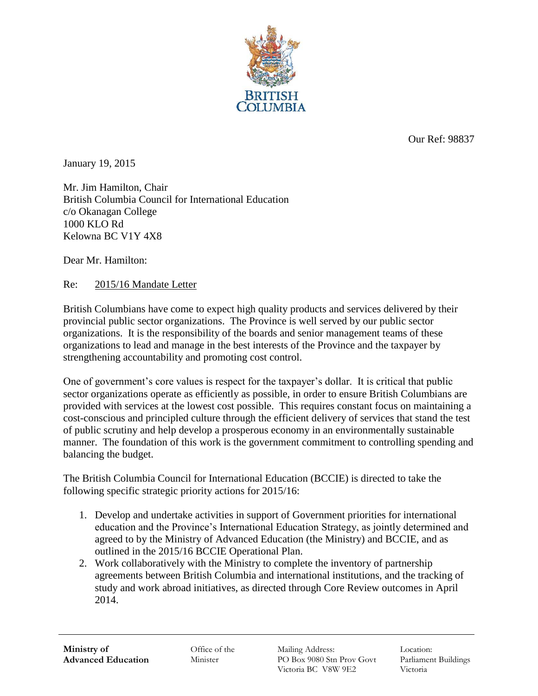

Our Ref: 98837

January 19, 2015

Mr. Jim Hamilton, Chair British Columbia Council for International Education c/o Okanagan College 1000 KLO Rd Kelowna BC V1Y 4X8

Dear Mr. Hamilton:

Re: 2015/16 Mandate Letter

British Columbians have come to expect high quality products and services delivered by their provincial public sector organizations. The Province is well served by our public sector organizations. It is the responsibility of the boards and senior management teams of these organizations to lead and manage in the best interests of the Province and the taxpayer by strengthening accountability and promoting cost control.

One of government's core values is respect for the taxpayer's dollar. It is critical that public sector organizations operate as efficiently as possible, in order to ensure British Columbians are provided with services at the lowest cost possible. This requires constant focus on maintaining a cost-conscious and principled culture through the efficient delivery of services that stand the test of public scrutiny and help develop a prosperous economy in an environmentally sustainable manner. The foundation of this work is the government commitment to controlling spending and balancing the budget.

The British Columbia Council for International Education (BCCIE) is directed to take the following specific strategic priority actions for 2015/16:

- 1. Develop and undertake activities in support of Government priorities for international education and the Province's International Education Strategy, as jointly determined and agreed to by the Ministry of Advanced Education (the Ministry) and BCCIE, and as outlined in the 2015/16 BCCIE Operational Plan.
- 2. Work collaboratively with the Ministry to complete the inventory of partnership agreements between British Columbia and international institutions, and the tracking of study and work abroad initiatives, as directed through Core Review outcomes in April 2014.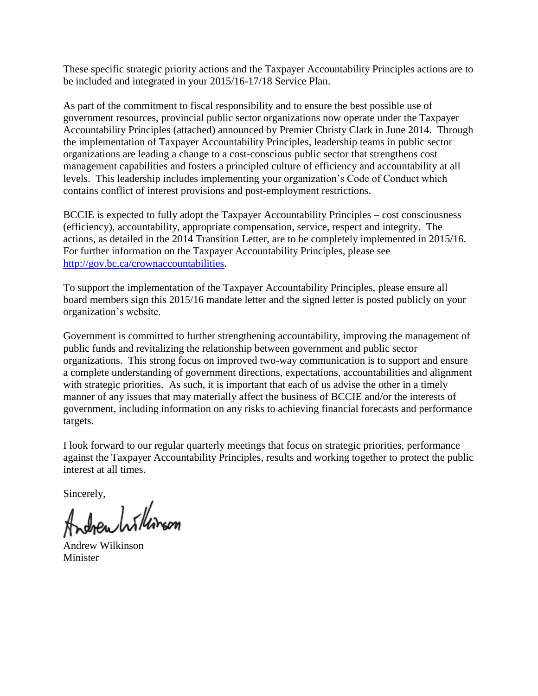These specific strategic priority actions and the Taxpayer Accountability Principles actions are to be included and integrated in your 2015/16-17/18 Service Plan.

As part of the commitment to fiscal responsibility and to ensure the best possible use of government resources, provincial public sector organizations now operate under the Taxpayer Accountability Principles (attached) announced by Premier Christy Clark in June 2014. Through the implementation of Taxpayer Accountability Principles, leadership teams in public sector organizations are leading a change to a cost-conscious public sector that strengthens cost management capabilities and fosters a principled culture of efficiency and accountability at all levels. This leadership includes implementing your organization's Code of Conduct which contains conflict of interest provisions and post-employment restrictions.

BCCIE is expected to fully adopt the Taxpayer Accountability Principles – cost consciousness (efficiency), accountability, appropriate compensation, service, respect and integrity. The actions, as detailed in the 2014 Transition Letter, are to be completely implemented in 2015/16. For further information on the Taxpayer Accountability Principles, please see [http://gov.bc.ca/crownaccountabilities.](http://gov.bc.ca/crownaccountabilities)

To support the implementation of the Taxpayer Accountability Principles, please ensure all board members sign this 2015/16 mandate letter and the signed letter is posted publicly on your organization's website.

Government is committed to further strengthening accountability, improving the management of public funds and revitalizing the relationship between government and public sector organizations. This strong focus on improved two-way communication is to support and ensure a complete understanding of government directions, expectations, accountabilities and alignment with strategic priorities. As such, it is important that each of us advise the other in a timely manner of any issues that may materially affect the business of BCCIE and/or the interests of government, including information on any risks to achieving financial forecasts and performance targets.

I look forward to our regular quarterly meetings that focus on strategic priorities, performance against the Taxpayer Accountability Principles, results and working together to protect the public interest at all times.

Sincerely,<br>Andrew hillinson

Andrew Wilkinson **Minister**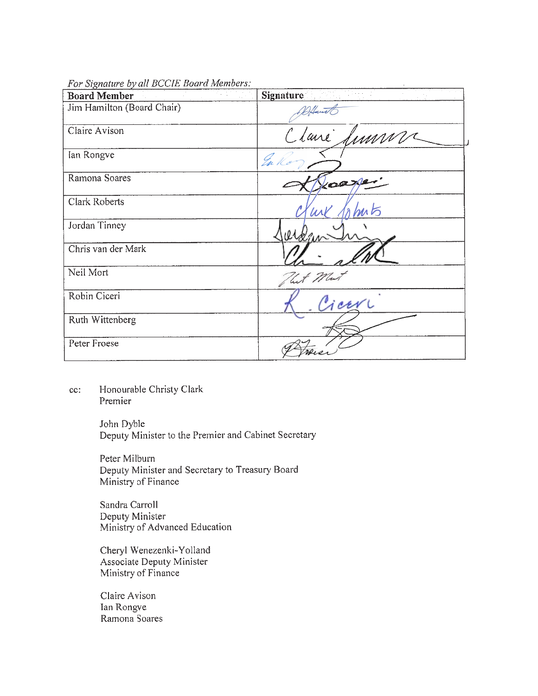|  |  |  |  |  | For Signature by all BCCIE Board Members: |
|--|--|--|--|--|-------------------------------------------|
|--|--|--|--|--|-------------------------------------------|

| <b>Board Member</b>        | <u> 1978</u> - Pinto<br>Signature |
|----------------------------|-----------------------------------|
| Jim Hamilton (Board Chair) | DHant                             |
| Claire Avison              | Claire Simme                      |
| Ian Rongve                 | En K                              |
| Ramona Soares              | Koaze                             |
| <b>Clark Roberts</b>       | ahuts<br>WN                       |
| Jordan Tinney              |                                   |
| Chris van der Mark         |                                   |
| Neil Mort                  | but Ma                            |
| Robin Ciceri               | Cicer                             |
| Ruth Wittenberg            |                                   |
| Peter Froese               |                                   |

Honourable Christy Clark  $cc$ : Premier

> John Dyble Deputy Minister to the Premier and Cabinet Secretary

Peter Milburn Deputy Minister and Secretary to Treasury Board Ministry of Finance

Sandra Carroll Deputy Minister Ministry of Advanced Education

Cheryl Wenezenki-Yolland Associate Deputy Minister Ministry of Finance

Claire Avison Ian Rongve Ramona Soares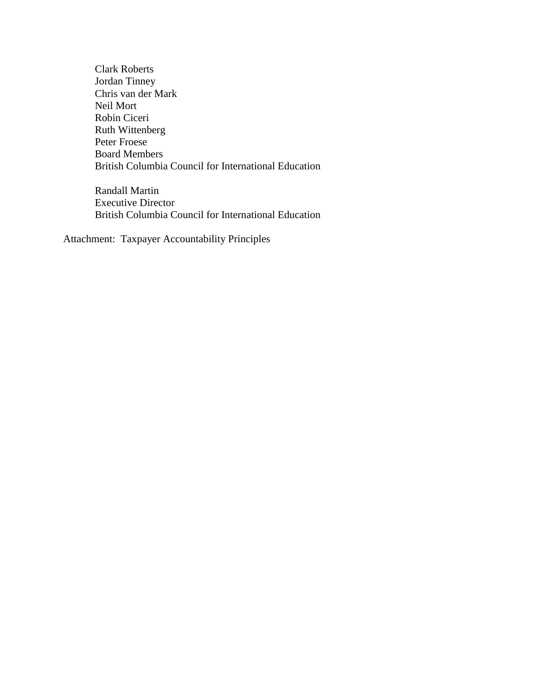Clark Roberts Jordan Tinney Chris van der Mark Neil Mort Robin Ciceri Ruth Wittenberg Peter Froese Board Members British Columbia Council for International Education

Randall Martin Executive Director British Columbia Council for International Education

Attachment: Taxpayer Accountability Principles